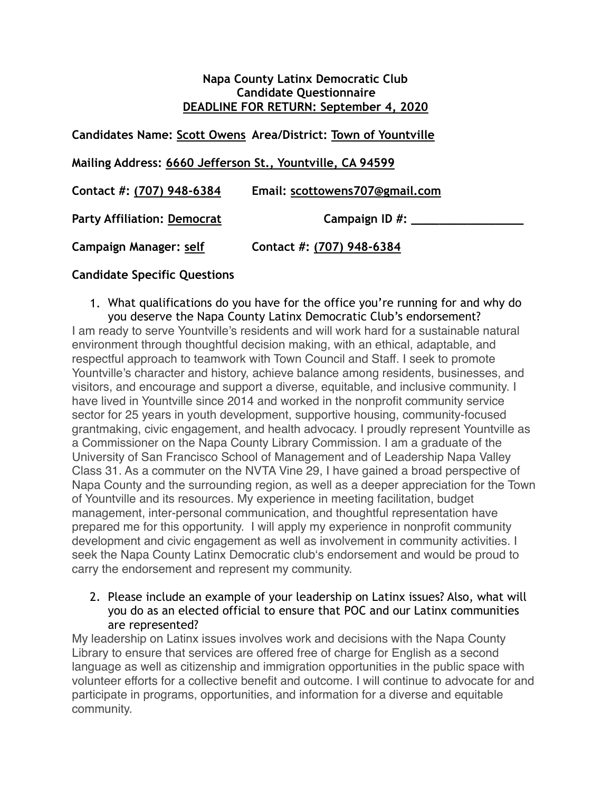#### **Napa County Latinx Democratic Club Candidate Questionnaire DEADLINE FOR RETURN: September 4, 2020**

**Candidates Name: Scott Owens Area/District: Town of Yountville Mailing Address: 6660 Jefferson St., Yountville, CA 94599 Contact #: (707) 948-6384 Email: scottowens707@gmail.com** Party Affiliation: Democrat Campaign ID #: **Campaign Manager: self Contact #: (707) 948-6384**

### **Candidate Specific Questions**

- 1. What qualifications do you have for the office you're running for and why do you deserve the Napa County Latinx Democratic Club's endorsement? I am ready to serve Yountville's residents and will work hard for a sustainable natural environment through thoughtful decision making, with an ethical, adaptable, and respectful approach to teamwork with Town Council and Staff. I seek to promote Yountville's character and history, achieve balance among residents, businesses, and visitors, and encourage and support a diverse, equitable, and inclusive community. I have lived in Yountville since 2014 and worked in the nonprofit community service sector for 25 years in youth development, supportive housing, community-focused grantmaking, civic engagement, and health advocacy. I proudly represent Yountville as a Commissioner on the Napa County Library Commission. I am a graduate of the University of San Francisco School of Management and of Leadership Napa Valley Class 31. As a commuter on the NVTA Vine 29, I have gained a broad perspective of Napa County and the surrounding region, as well as a deeper appreciation for the Town of Yountville and its resources. My experience in meeting facilitation, budget management, inter-personal communication, and thoughtful representation have prepared me for this opportunity. I will apply my experience in nonprofit community development and civic engagement as well as involvement in community activities. I seek the Napa County Latinx Democratic club's endorsement and would be proud to carry the endorsement and represent my community.
	- 2. Please include an example of your leadership on Latinx issues? Also, what will you do as an elected official to ensure that POC and our Latinx communities are represented?

My leadership on Latinx issues involves work and decisions with the Napa County Library to ensure that services are offered free of charge for English as a second language as well as citizenship and immigration opportunities in the public space with volunteer efforts for a collective benefit and outcome. I will continue to advocate for and participate in programs, opportunities, and information for a diverse and equitable community.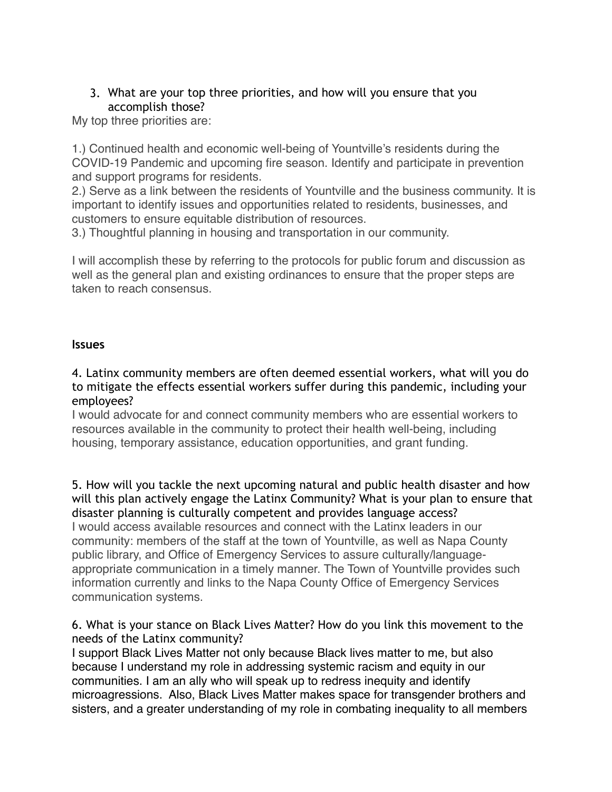# 3. What are your top three priorities, and how will you ensure that you accomplish those?

My top three priorities are:

1.) Continued health and economic well-being of Yountville's residents during the COVID-19 Pandemic and upcoming fire season. Identify and participate in prevention and support programs for residents.

2.) Serve as a link between the residents of Yountville and the business community. It is important to identify issues and opportunities related to residents, businesses, and customers to ensure equitable distribution of resources.

3.) Thoughtful planning in housing and transportation in our community.

I will accomplish these by referring to the protocols for public forum and discussion as well as the general plan and existing ordinances to ensure that the proper steps are taken to reach consensus.

### **Issues**

### 4. Latinx community members are often deemed essential workers, what will you do to mitigate the effects essential workers suffer during this pandemic, including your employees?

I would advocate for and connect community members who are essential workers to resources available in the community to protect their health well-being, including housing, temporary assistance, education opportunities, and grant funding.

5. How will you tackle the next upcoming natural and public health disaster and how will this plan actively engage the Latinx Community? What is your plan to ensure that disaster planning is culturally competent and provides language access? I would access available resources and connect with the Latinx leaders in our community: members of the staff at the town of Yountville, as well as Napa County public library, and Office of Emergency Services to assure culturally/languageappropriate communication in a timely manner. The Town of Yountville provides such information currently and links to the Napa County Office of Emergency Services communication systems.

### 6. What is your stance on Black Lives Matter? How do you link this movement to the needs of the Latinx community?

I support Black Lives Matter not only because Black lives matter to me, but also because I understand my role in addressing systemic racism and equity in our communities. I am an ally who will speak up to redress inequity and identify microagressions. Also, Black Lives Matter makes space for transgender brothers and sisters, and a greater understanding of my role in combating inequality to all members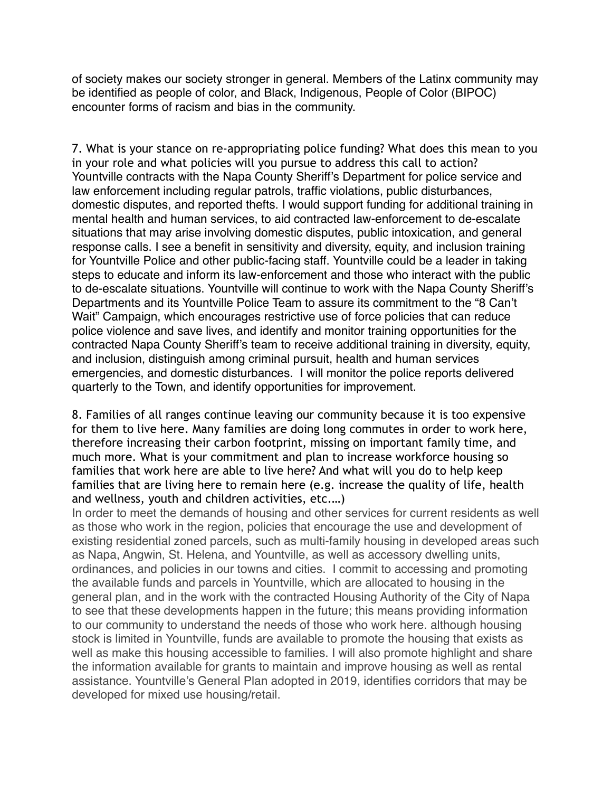of society makes our society stronger in general. Members of the Latinx community may be identified as people of color, and Black, Indigenous, People of Color (BIPOC) encounter forms of racism and bias in the community.

7. What is your stance on re-appropriating police funding? What does this mean to you in your role and what policies will you pursue to address this call to action? Yountville contracts with the Napa County Sheriff's Department for police service and law enforcement including regular patrols, traffic violations, public disturbances, domestic disputes, and reported thefts. I would support funding for additional training in mental health and human services, to aid contracted law-enforcement to de-escalate situations that may arise involving domestic disputes, public intoxication, and general response calls. I see a benefit in sensitivity and diversity, equity, and inclusion training for Yountville Police and other public-facing staff. Yountville could be a leader in taking steps to educate and inform its law-enforcement and those who interact with the public to de-escalate situations. Yountville will continue to work with the Napa County Sheriff's Departments and its Yountville Police Team to assure its commitment to the "8 Can't Wait" Campaign, which encourages restrictive use of force policies that can reduce police violence and save lives, and identify and monitor training opportunities for the contracted Napa County Sheriff's team to receive additional training in diversity, equity, and inclusion, distinguish among criminal pursuit, health and human services emergencies, and domestic disturbances. I will monitor the police reports delivered quarterly to the Town, and identify opportunities for improvement.

8. Families of all ranges continue leaving our community because it is too expensive for them to live here. Many families are doing long commutes in order to work here, therefore increasing their carbon footprint, missing on important family time, and much more. What is your commitment and plan to increase workforce housing so families that work here are able to live here? And what will you do to help keep families that are living here to remain here (e.g. increase the quality of life, health and wellness, youth and children activities, etc.…)

In order to meet the demands of housing and other services for current residents as well as those who work in the region, policies that encourage the use and development of existing residential zoned parcels, such as multi-family housing in developed areas such as Napa, Angwin, St. Helena, and Yountville, as well as accessory dwelling units, ordinances, and policies in our towns and cities. I commit to accessing and promoting the available funds and parcels in Yountville, which are allocated to housing in the general plan, and in the work with the contracted Housing Authority of the City of Napa to see that these developments happen in the future; this means providing information to our community to understand the needs of those who work here. although housing stock is limited in Yountville, funds are available to promote the housing that exists as well as make this housing accessible to families. I will also promote highlight and share the information available for grants to maintain and improve housing as well as rental assistance. Yountville's General Plan adopted in 2019, identifies corridors that may be developed for mixed use housing/retail.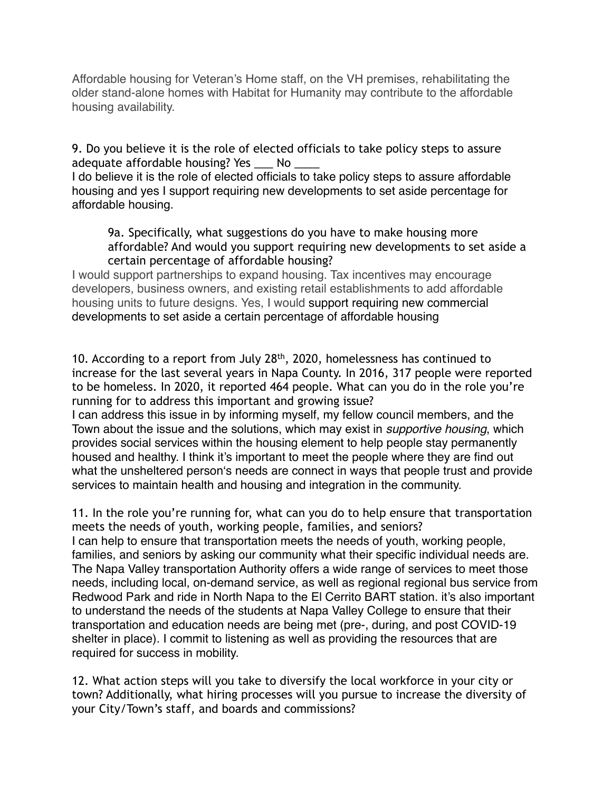Affordable housing for Veteran's Home staff, on the VH premises, rehabilitating the older stand-alone homes with Habitat for Humanity may contribute to the affordable housing availability.

9. Do you believe it is the role of elected officials to take policy steps to assure adequate affordable housing? Yes \_\_\_ No \_\_\_\_

I do believe it is the role of elected officials to take policy steps to assure affordable housing and yes I support requiring new developments to set aside percentage for affordable housing.

9a. Specifically, what suggestions do you have to make housing more affordable? And would you support requiring new developments to set aside a certain percentage of affordable housing?

I would support partnerships to expand housing. Tax incentives may encourage developers, business owners, and existing retail establishments to add affordable housing units to future designs. Yes, I would support requiring new commercial developments to set aside a certain percentage of affordable housing

10. According to a report from July 28th, 2020, homelessness has continued to increase for the last several years in Napa County. In 2016, 317 people were reported to be homeless. In 2020, it reported 464 people. What can you do in the role you're running for to address this important and growing issue?

I can address this issue in by informing myself, my fellow council members, and the Town about the issue and the solutions, which may exist in *supportive housing*, which provides social services within the housing element to help people stay permanently housed and healthy. I think it's important to meet the people where they are find out what the unsheltered person's needs are connect in ways that people trust and provide services to maintain health and housing and integration in the community.

11. In the role you're running for, what can you do to help ensure that transportation meets the needs of youth, working people, families, and seniors?

I can help to ensure that transportation meets the needs of youth, working people, families, and seniors by asking our community what their specific individual needs are. The Napa Valley transportation Authority offers a wide range of services to meet those needs, including local, on-demand service, as well as regional regional bus service from Redwood Park and ride in North Napa to the El Cerrito BART station. it's also important to understand the needs of the students at Napa Valley College to ensure that their transportation and education needs are being met (pre-, during, and post COVID-19 shelter in place). I commit to listening as well as providing the resources that are required for success in mobility.

12. What action steps will you take to diversify the local workforce in your city or town? Additionally, what hiring processes will you pursue to increase the diversity of your City/Town's staff, and boards and commissions?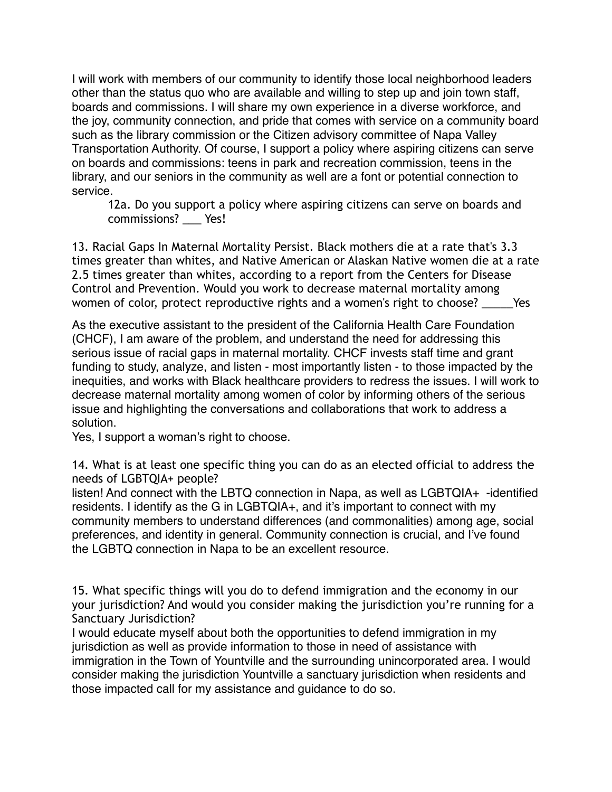I will work with members of our community to identify those local neighborhood leaders other than the status quo who are available and willing to step up and join town staff, boards and commissions. I will share my own experience in a diverse workforce, and the joy, community connection, and pride that comes with service on a community board such as the library commission or the Citizen advisory committee of Napa Valley Transportation Authority. Of course, I support a policy where aspiring citizens can serve on boards and commissions: teens in park and recreation commission, teens in the library, and our seniors in the community as well are a font or potential connection to service.

12a. Do you support a policy where aspiring citizens can serve on boards and commissions? Yes!

13. Racial Gaps In Maternal Mortality Persist. Black mothers die at a rate that's 3.3 times greater than whites, and Native American or Alaskan Native women die at a rate 2.5 times greater than whites, according to a report from the Centers for Disease Control and Prevention. Would you work to decrease maternal mortality among women of color, protect reproductive rights and a women's right to choose? These

As the executive assistant to the president of the California Health Care Foundation (CHCF), I am aware of the problem, and understand the need for addressing this serious issue of racial gaps in maternal mortality. CHCF invests staff time and grant funding to study, analyze, and listen - most importantly listen - to those impacted by the inequities, and works with Black healthcare providers to redress the issues. I will work to decrease maternal mortality among women of color by informing others of the serious issue and highlighting the conversations and collaborations that work to address a solution.

Yes, I support a woman's right to choose.

14. What is at least one specific thing you can do as an elected official to address the needs of LGBTQIA+ people?

listen! And connect with the LBTQ connection in Napa, as well as LGBTQIA+ -identified residents. I identify as the G in LGBTQIA+, and it's important to connect with my community members to understand differences (and commonalities) among age, social preferences, and identity in general. Community connection is crucial, and I've found the LGBTQ connection in Napa to be an excellent resource.

15. What specific things will you do to defend immigration and the economy in our your jurisdiction? And would you consider making the jurisdiction you're running for a Sanctuary Jurisdiction?

I would educate myself about both the opportunities to defend immigration in my jurisdiction as well as provide information to those in need of assistance with immigration in the Town of Yountville and the surrounding unincorporated area. I would consider making the jurisdiction Yountville a sanctuary jurisdiction when residents and those impacted call for my assistance and guidance to do so.